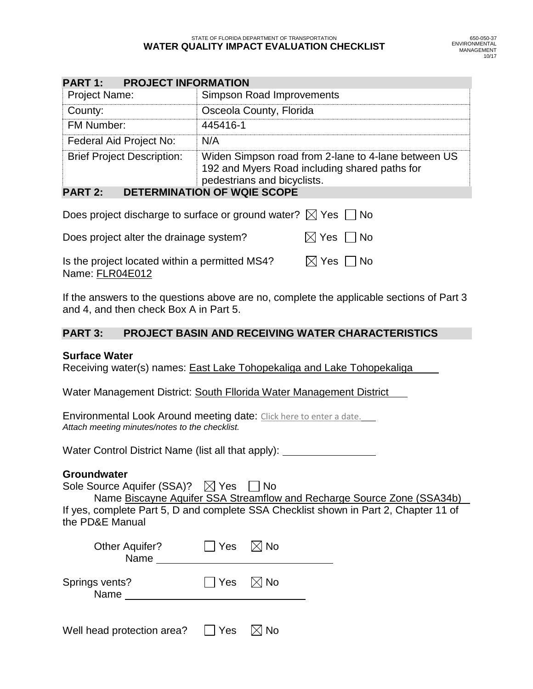| <b>PART 1: PROJECT INFORMATION</b> |                                                                                                                                     |  |  |  |  |  |
|------------------------------------|-------------------------------------------------------------------------------------------------------------------------------------|--|--|--|--|--|
| <b>Project Name:</b>               | Simpson Road Improvements                                                                                                           |  |  |  |  |  |
| County:                            | Osceola County, Florida                                                                                                             |  |  |  |  |  |
| FM Number:                         | 445416-1                                                                                                                            |  |  |  |  |  |
| Federal Aid Project No:            | N/A                                                                                                                                 |  |  |  |  |  |
| <b>Brief Project Description:</b>  | Widen Simpson road from 2-lane to 4-lane between US<br>192 and Myers Road including shared paths for<br>pedestrians and bicyclists. |  |  |  |  |  |

## **PART 2: DETERMINATION OF WQIE SCOPE**

| Does project discharge to surface or ground water? $\boxtimes$ Yes $\Box$ No |                             |
|------------------------------------------------------------------------------|-----------------------------|
| Does project alter the drainage system?                                      | $\boxtimes$ Yes $\,\Box$ No |
| Is the project located within a permitted MS4?                               | $\boxtimes$ Yes $\Box$ No   |

If the answers to the questions above are no, complete the applicable sections of Part 3 and 4, and then check Box A in Part 5.

## **PART 3: PROJECT BASIN AND RECEIVING WATER CHARACTERISTICS**

## **Surface Water**

Name: FLR04E012

Receiving water(s) names: East Lake Tohopekaliga and Lake Tohopekaliga

Water Management District: South Fllorida Water Management District

Environmental Look Around meeting date: Click here to enter a date. *Attach meeting minutes/notes to the checklist.*

Water Control District Name (list all that apply): \_

## **Groundwater**

Sole Source Aquifer (SSA)?  $\boxtimes$  Yes  $\Box$  No Name Biscayne Aquifer SSA Streamflow and Recharge Source Zone (SSA34b) If yes, complete Part 5, D and complete SSA Checklist shown in Part 2, Chapter 11 of

the PD&E Manual

| <b>Other Aquifer?</b><br>Name | $\vert$ Yes $\mathbb N$ No |  |
|-------------------------------|----------------------------|--|
| Springs vents?<br>Name        | $\Box$ Yes $\Box$ No       |  |
|                               |                            |  |

| Well head protection area? | $\Box$ Yes | $\boxtimes$ No |
|----------------------------|------------|----------------|
|----------------------------|------------|----------------|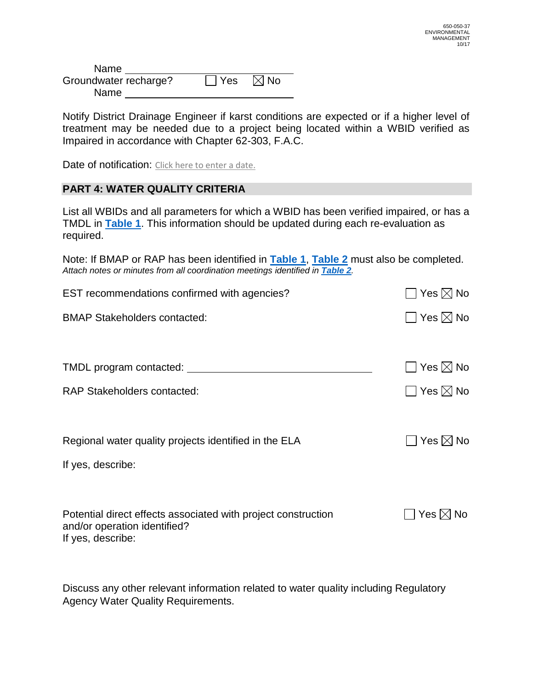| <b>Name</b>           |                           |  |
|-----------------------|---------------------------|--|
| Groundwater recharge? | $\Box$ Yes $\boxtimes$ No |  |
| Name                  |                           |  |

Notify District Drainage Engineer if karst conditions are expected or if a higher level of treatment may be needed due to a project being located within a WBID verified as Impaired in accordance with Chapter 62-303, F.A.C.

Date of notification: Click here to enter a date.

## **PART 4: WATER QUALITY CRITERIA**

List all WBIDs and all parameters for which a WBID has been verified impaired, or has a TMDL in **[Table 1](#page-3-0)**. This information should be updated during each re-evaluation as required.

Note: If BMAP or RAP has been identified in **[Table 1](#page-3-0)**, **[Table 2](#page-4-0)** must also be completed. *Attach notes or minutes from all coordination meetings identified in [Table 2](#page-4-0).*

| EST recommendations confirmed with agencies?                                                  | Yes $\boxtimes$ No        |
|-----------------------------------------------------------------------------------------------|---------------------------|
| <b>BMAP Stakeholders contacted:</b>                                                           | $\Box$ Yes $\boxtimes$ No |
|                                                                                               |                           |
|                                                                                               |                           |
| TMDL program contacted:                                                                       | $\Box$ Yes $\boxtimes$ No |
| <b>RAP Stakeholders contacted:</b>                                                            | $\Box$ Yes $\boxtimes$ No |
|                                                                                               |                           |
|                                                                                               |                           |
| Regional water quality projects identified in the ELA                                         | $\Box$ Yes $\boxtimes$ No |
| If yes, describe:                                                                             |                           |
|                                                                                               |                           |
|                                                                                               |                           |
| Potential direct effects associated with project construction<br>and/or operation identified? | Yes $\boxtimes$ No        |
| If yes, describe:                                                                             |                           |
|                                                                                               |                           |

Discuss any other relevant information related to water quality including Regulatory Agency Water Quality Requirements.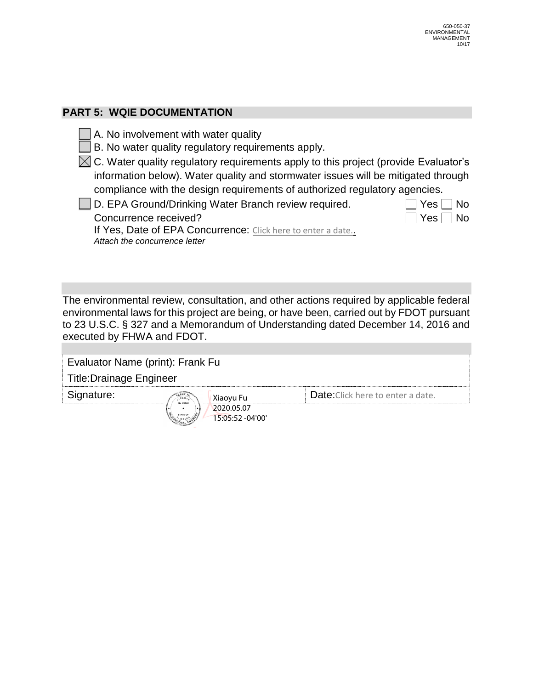# **PART 5: WQIE DOCUMENTATION**

- A. No involvement with water quality
- $\Box$  B. No water quality regulatory requirements apply.

 $\boxtimes$  C. Water quality regulatory requirements apply to this project (provide Evaluator's information below). Water quality and stormwater issues will be mitigated through compliance with the design requirements of authorized regulatory agencies.

 $\Box$  D. EPA Ground/Drinking Water Branch review required.  $\Box$  Yes  $\Box$  No Concurrence received?  $\Box$  Yes  $\Box$  No

If Yes, Date of EPA Concurrence: Click here to enter a date. *Attach the concurrence letter*

The environmental review, consultation, and other actions required by applicable federal environmental laws for this project are being, or have been, carried out by FDOT pursuant to 23 U.S.C. § 327 and a Memorandum of Understanding dated December 14, 2016 and executed by FHWA and FDOT.

| Evaluator Name (print): Frank Fu |                                |                                          |  |  |  |  |
|----------------------------------|--------------------------------|------------------------------------------|--|--|--|--|
| <b>Title:Drainage Engineer</b>   |                                |                                          |  |  |  |  |
| Signature:                       | Xiaoyu Fu<br>No 49940          | <b>Date:</b> Click here to enter a date. |  |  |  |  |
|                                  | 2020.05.07<br>15:05:52 -04'00' |                                          |  |  |  |  |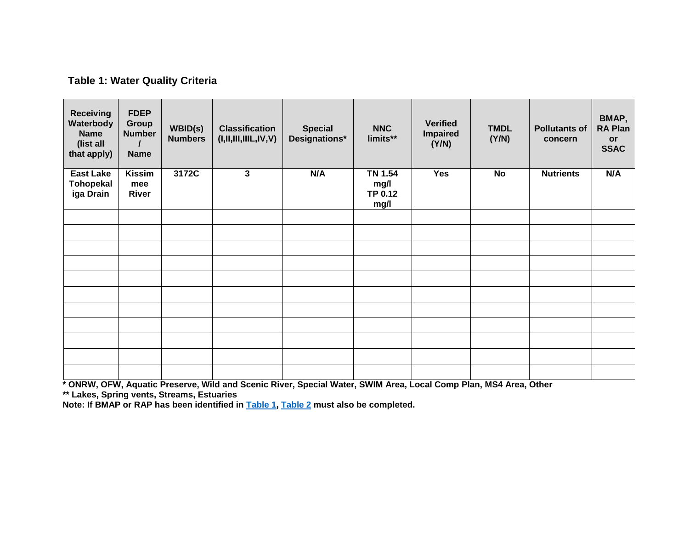# <span id="page-3-1"></span>**Table 1: Water Quality Criteria**

<span id="page-3-0"></span>

| <b>Receiving</b><br>Waterbody<br><b>Name</b><br>(list all<br>that apply) | <b>FDEP</b><br>Group<br><b>Number</b><br><b>Name</b> | WBID(s)<br><b>Numbers</b> | <b>Classification</b><br>(I, II, III, IIIL, IV, V) | <b>Special</b><br>Designations* | <b>NNC</b><br>limits**                    | <b>Verified</b><br><b>Impaired</b><br>(Y/N) | <b>TMDL</b><br>(Y/N) | <b>Pollutants of</b><br>concern | BMAP,<br><b>RA Plan</b><br>or<br><b>SSAC</b> |
|--------------------------------------------------------------------------|------------------------------------------------------|---------------------------|----------------------------------------------------|---------------------------------|-------------------------------------------|---------------------------------------------|----------------------|---------------------------------|----------------------------------------------|
| <b>East Lake</b><br><b>Tohopekal</b><br>iga Drain                        | <b>Kissim</b><br>mee<br>River                        | 3172C                     | 3                                                  | N/A                             | <b>TN 1.54</b><br>mg/l<br>TP 0.12<br>mg/l | <b>Yes</b>                                  | No                   | <b>Nutrients</b>                | N/A                                          |
|                                                                          |                                                      |                           |                                                    |                                 |                                           |                                             |                      |                                 |                                              |
|                                                                          |                                                      |                           |                                                    |                                 |                                           |                                             |                      |                                 |                                              |
|                                                                          |                                                      |                           |                                                    |                                 |                                           |                                             |                      |                                 |                                              |
|                                                                          |                                                      |                           |                                                    |                                 |                                           |                                             |                      |                                 |                                              |
|                                                                          |                                                      |                           |                                                    |                                 |                                           |                                             |                      |                                 |                                              |
|                                                                          |                                                      |                           |                                                    |                                 |                                           |                                             |                      |                                 |                                              |
|                                                                          |                                                      |                           |                                                    |                                 |                                           |                                             |                      |                                 |                                              |
|                                                                          |                                                      |                           |                                                    |                                 |                                           |                                             |                      |                                 |                                              |
|                                                                          |                                                      |                           |                                                    |                                 |                                           |                                             |                      |                                 |                                              |
|                                                                          |                                                      |                           |                                                    |                                 |                                           |                                             |                      |                                 |                                              |
|                                                                          |                                                      |                           |                                                    |                                 |                                           |                                             |                      |                                 |                                              |

**\* ONRW, OFW, Aquatic Preserve, Wild and Scenic River, Special Water, SWIM Area, Local Comp Plan, MS4 Area, Other**

**\*\* Lakes, Spring vents, Streams, Estuaries**

**Note: If BMAP or RAP has been identified in [Table 1,](#page-3-1) [Table 2](#page-4-1) must also be completed.**